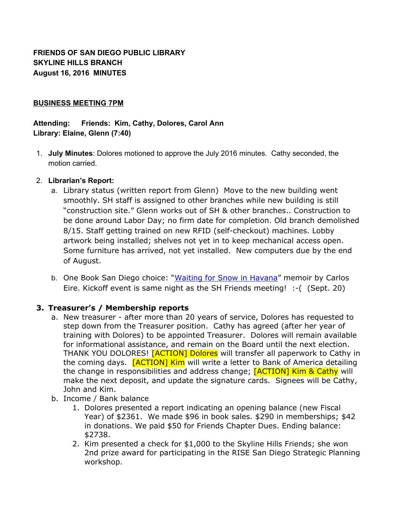**FRIENDS OF SAN DIEGO PUBLIC LIBRARY SKYLINE HILLS BRANCH August 16, 2016 MINUTES**

### **BUSINESS MEETING 7PM**

## **Attending: Friends: Kim, Cathy, Dolores, Carol Ann Library: Elaine, Glenn (7:40)**

1. **July Minutes**: Dolores motioned to approve the July 2016 minutes. Cathy seconded, the motion carried.

### 2. **Librarian's Report:**

- a. Library status (written report from Glenn) Move to the new building went smoothly. SH staff is assigned to other branches while new building is still "construction site." Glenn works out of SH & other branches.. Construction to be done around Labor Day; no firm date for completion. Old branch demolished 8/15. Staff getting trained on new RFID (self-checkout) machines. Lobby artwork being installed; shelves not yet in to keep mechanical access open. Some furniture has arrived, not yet installed. New computers due by the end of August.
- b. One Book San Diego choice: "Waiting for Snow in [Havana"](https://sandiego.bibliocommons.com/item/show/726683104_waiting_for_snow_in_havana) memoir by Carlos Eire. Kickoff event is same night as the SH Friends meeting! :-( (Sept. 20)

## **3. Treasurer's / Membership reports**

- a. New treasurer after more than 20 years of service, Dolores has requested to step down from the Treasurer position. Cathy has agreed (after her year of training with Dolores) to be appointed Treasurer. Dolores will remain available for informational assistance, and remain on the Board until the next election. THANK YOU DOLORES! [ACTION] Dolores will transfer all paperwork to Cathy in the coming days. **[ACTION] Kim** will write a letter to Bank of America detailing the change in responsibilities and address change; [ACTION] Kim & Cathy will make the next deposit, and update the signature cards. Signees will be Cathy, John and Kim.
- b. Income / Bank balance
	- 1. Dolores presented a report indicating an opening balance (new Fiscal Year) of \$2361. We made \$96 in book sales. \$290 in memberships; \$42 in donations. We paid \$50 for Friends Chapter Dues. Ending balance: \$2738.
	- 2. Kim presented a check for \$1,000 to the Skyline Hills Friends; she won 2nd prize award for participating in the RISE San Diego Strategic Planning workshop.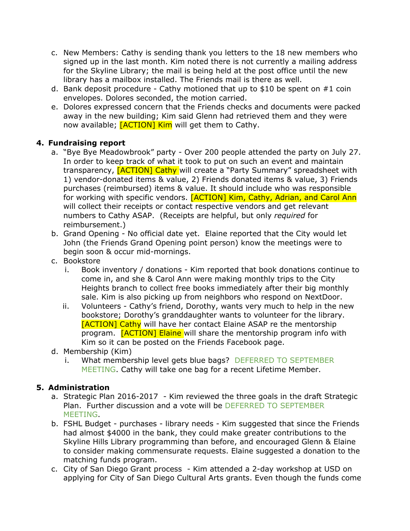- c. New Members: Cathy is sending thank you letters to the 18 new members who signed up in the last month. Kim noted there is not currently a mailing address for the Skyline Library; the mail is being held at the post office until the new library has a mailbox installed. The Friends mail is there as well.
- d. Bank deposit procedure Cathy motioned that up to \$10 be spent on  $#1$  coin envelopes. Dolores seconded, the motion carried.
- e. Dolores expressed concern that the Friends checks and documents were packed away in the new building; Kim said Glenn had retrieved them and they were now available; [ACTION] Kim will get them to Cathy.

# **4. Fundraising report**

- a. "Bye Bye Meadowbrook" party Over 200 people attended the party on July 27. In order to keep track of what it took to put on such an event and maintain transparency, [ACTION] Cathy will create a "Party Summary" spreadsheet with 1) vendor-donated items & value, 2) Friends donated items & value, 3) Friends purchases (reimbursed) items & value. It should include who was responsible for working with specific vendors. **[ACTION] Kim, Cathy, Adrian, and Carol Ann** will collect their receipts or contact respective vendors and get relevant numbers to Cathy ASAP. (Receipts are helpful, but only *required* for reimbursement.)
- b. Grand Opening No official date yet. Elaine reported that the City would let John (the Friends Grand Opening point person) know the meetings were to begin soon & occur mid-mornings.
- c. Bookstore
	- i. Book inventory / donations Kim reported that book donations continue to come in, and she & Carol Ann were making monthly trips to the City Heights branch to collect free books immediately after their big monthly sale. Kim is also picking up from neighbors who respond on NextDoor.
	- ii. Volunteers Cathy's friend, Dorothy, wants very much to help in the new bookstore; Dorothy's granddaughter wants to volunteer for the library. [ACTION] Cathy will have her contact Elaine ASAP re the mentorship program. **[ACTION] Elaine** will share the mentorship program info with Kim so it can be posted on the Friends Facebook page.
- d. Membership (Kim)
	- i. What membership level gets blue bags? DEFERRED TO SEPTEMBER MEETING. Cathy will take one bag for a recent Lifetime Member.

## **5. Administration**

- a. Strategic Plan 2016-2017 Kim reviewed the three goals in the draft Strategic Plan. Further discussion and a vote will be DEFERRED TO SEPTEMBER MEETING.
- b. FSHL Budget purchases library needs Kim suggested that since the Friends had almost \$4000 in the bank, they could make greater contributions to the Skyline Hills Library programming than before, and encouraged Glenn & Elaine to consider making commensurate requests. Elaine suggested a donation to the matching funds program.
- c. City of San Diego Grant process Kim attended a 2-day workshop at USD on applying for City of San Diego Cultural Arts grants. Even though the funds come